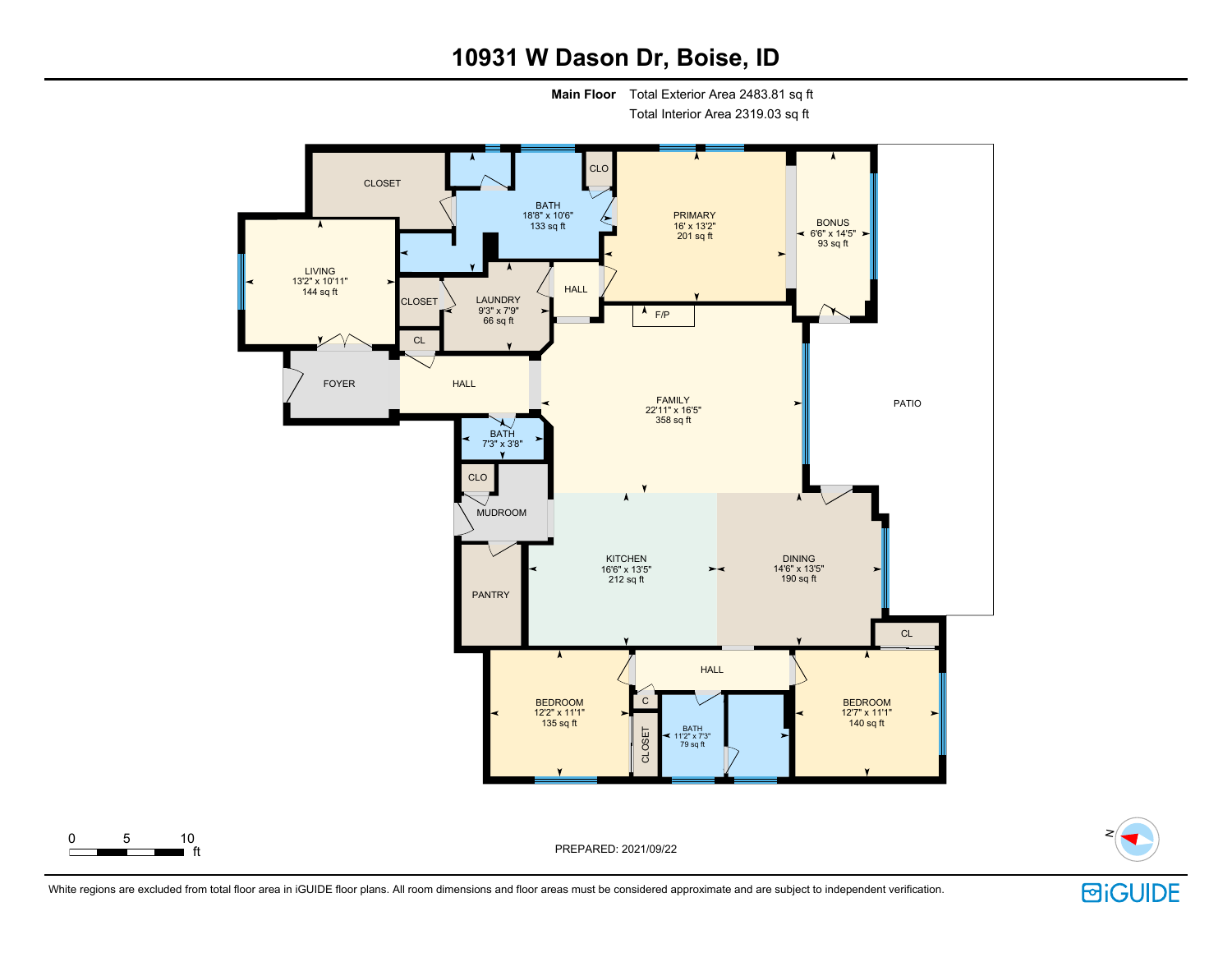# **10931 W Dason Dr, Boise, ID**

**Main Floor** Total Exterior Area 2483.81 sq ft

Total Interior Area 2319.03 sq ft





PREPARED: 2021/09/22

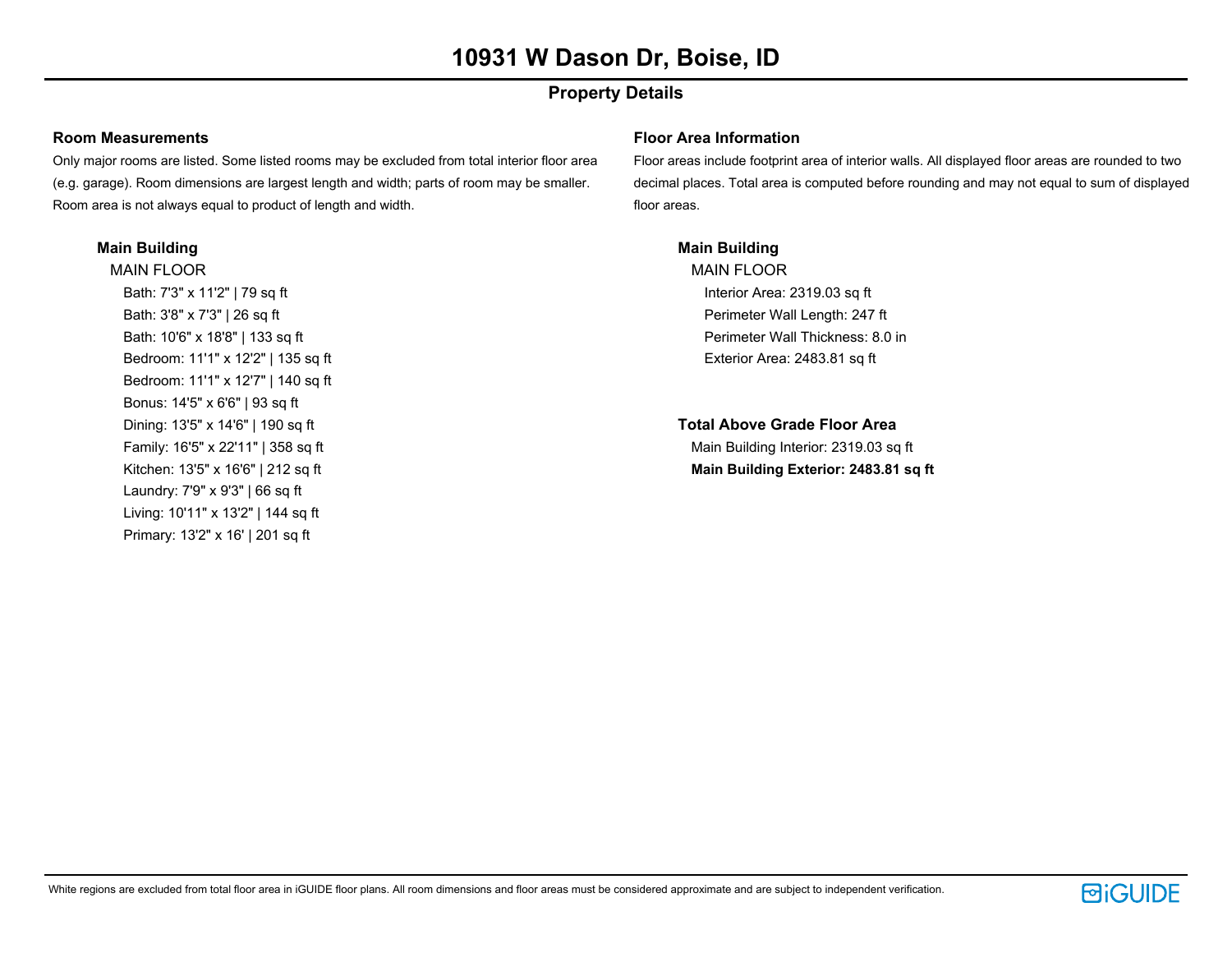## **Property Details**

### **Room Measurements**

Only major rooms are listed. Some listed rooms may be excluded from total interior floor area (e.g. garage). Room dimensions are largest length and width; parts of room may be smaller. Room area is not always equal to product of length and width.

### **Main Building**

MAIN FLOOR Bath: 7'3" x 11'2" | 79 sq ft Bath: 3'8" x 7'3" | 26 sq ft Bath: 10'6" x 18'8" | 133 sq ft Bedroom: 11'1" x 12'2" | 135 sq ft Bedroom: 11'1" x 12'7" | 140 sq ft Bonus: 14'5" x 6'6" | 93 sq ft Dining: 13'5" x 14'6" | 190 sq ft Family: 16'5" x 22'11" | 358 sq ft Kitchen: 13'5" x 16'6" | 212 sq ft Laundry: 7'9" x 9'3" | 66 sq ft Living: 10'11" x 13'2" | 144 sq ft Primary: 13'2" x 16' | 201 sq ft

### **Floor Area Information**

Floor areas include footprint area of interior walls. All displayed floor areas are rounded to two decimal places. Total area is computed before rounding and may not equal to sum of displayed floor areas.

### **Main Building**

MAIN FLOOR Interior Area: 2319.03 sq ft Perimeter Wall Length: 247 ft Perimeter Wall Thickness: 8.0 in Exterior Area: 2483.81 sq ft

**Total Above Grade Floor Area** Main Building Interior: 2319.03 sq ft **Main Building Exterior: 2483.81 sq ft**